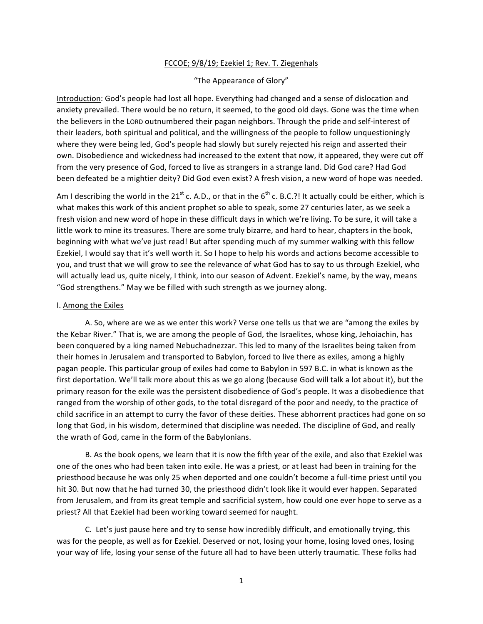## FCCOE; 9/8/19; Ezekiel 1; Rev. T. Ziegenhals

## "The Appearance of Glory"

Introduction: God's people had lost all hope. Everything had changed and a sense of dislocation and anxiety prevailed. There would be no return, it seemed, to the good old days. Gone was the time when the believers in the LORD outnumbered their pagan neighbors. Through the pride and self-interest of their leaders, both spiritual and political, and the willingness of the people to follow unquestioningly where they were being led, God's people had slowly but surely rejected his reign and asserted their own. Disobedience and wickedness had increased to the extent that now, it appeared, they were cut off from the very presence of God, forced to live as strangers in a strange land. Did God care? Had God been defeated be a mightier deity? Did God even exist? A fresh vision, a new word of hope was needed.

Am I describing the world in the 21<sup>st</sup> c. A.D., or that in the  $6<sup>th</sup>$  c. B.C.?! It actually could be either, which is what makes this work of this ancient prophet so able to speak, some 27 centuries later, as we seek a fresh vision and new word of hope in these difficult days in which we're living. To be sure, it will take a little work to mine its treasures. There are some truly bizarre, and hard to hear, chapters in the book, beginning with what we've just read! But after spending much of my summer walking with this fellow Ezekiel, I would say that it's well worth it. So I hope to help his words and actions become accessible to you, and trust that we will grow to see the relevance of what God has to say to us through Ezekiel, who will actually lead us, quite nicely, I think, into our season of Advent. Ezekiel's name, by the way, means "God strengthens." May we be filled with such strength as we journey along.

## I. Among the Exiles

A. So, where are we as we enter this work? Verse one tells us that we are "among the exiles by the Kebar River." That is, we are among the people of God, the Israelites, whose king, Jehoiachin, has been conquered by a king named Nebuchadnezzar. This led to many of the Israelites being taken from their homes in Jerusalem and transported to Babylon, forced to live there as exiles, among a highly pagan people. This particular group of exiles had come to Babylon in 597 B.C. in what is known as the first deportation. We'll talk more about this as we go along (because God will talk a lot about it), but the primary reason for the exile was the persistent disobedience of God's people. It was a disobedience that ranged from the worship of other gods, to the total disregard of the poor and needy, to the practice of child sacrifice in an attempt to curry the favor of these deities. These abhorrent practices had gone on so long that God, in his wisdom, determined that discipline was needed. The discipline of God, and really the wrath of God, came in the form of the Babylonians.

B. As the book opens, we learn that it is now the fifth year of the exile, and also that Ezekiel was one of the ones who had been taken into exile. He was a priest, or at least had been in training for the priesthood because he was only 25 when deported and one couldn't become a full-time priest until you hit 30. But now that he had turned 30, the priesthood didn't look like it would ever happen. Separated from Jerusalem, and from its great temple and sacrificial system, how could one ever hope to serve as a priest? All that Ezekiel had been working toward seemed for naught.

C. Let's just pause here and try to sense how incredibly difficult, and emotionally trying, this was for the people, as well as for Ezekiel. Deserved or not, losing your home, losing loved ones, losing your way of life, losing your sense of the future all had to have been utterly traumatic. These folks had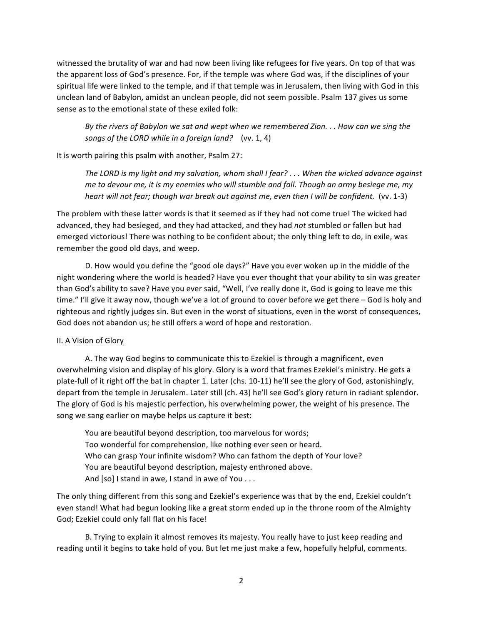witnessed the brutality of war and had now been living like refugees for five years. On top of that was the apparent loss of God's presence. For, if the temple was where God was, if the disciplines of your spiritual life were linked to the temple, and if that temple was in Jerusalem, then living with God in this unclean land of Babylon, amidst an unclean people, did not seem possible. Psalm 137 gives us some sense as to the emotional state of these exiled folk:

By the rivers of Babylon we sat and wept when we remembered Zion. . . How can we sing the *songs of the LORD while in a foreign land?* (vv. 1, 4)

It is worth pairing this psalm with another, Psalm 27:

The LORD is my light and my salvation, whom shall I fear? . . . When the wicked advance against *me* to devour me, it is my enemies who will stumble and fall. Though an army besiege me, my *heart* will not fear; though war break out against me, even then I will be confident. (vv. 1-3)

The problem with these latter words is that it seemed as if they had not come true! The wicked had advanced, they had besieged, and they had attacked, and they had *not* stumbled or fallen but had emerged victorious! There was nothing to be confident about; the only thing left to do, in exile, was remember the good old days, and weep.

D. How would you define the "good ole days?" Have you ever woken up in the middle of the night wondering where the world is headed? Have you ever thought that your ability to sin was greater than God's ability to save? Have you ever said, "Well, I've really done it, God is going to leave me this time." I'll give it away now, though we've a lot of ground to cover before we get there – God is holy and righteous and rightly judges sin. But even in the worst of situations, even in the worst of consequences, God does not abandon us; he still offers a word of hope and restoration.

## II. A Vision of Glory

A. The way God begins to communicate this to Ezekiel is through a magnificent, even overwhelming vision and display of his glory. Glory is a word that frames Ezekiel's ministry. He gets a plate-full of it right off the bat in chapter 1. Later (chs. 10-11) he'll see the glory of God, astonishingly, depart from the temple in Jerusalem. Later still (ch. 43) he'll see God's glory return in radiant splendor. The glory of God is his majestic perfection, his overwhelming power, the weight of his presence. The song we sang earlier on maybe helps us capture it best:

You are beautiful beyond description, too marvelous for words; Too wonderful for comprehension, like nothing ever seen or heard. Who can grasp Your infinite wisdom? Who can fathom the depth of Your love? You are beautiful beyond description, majesty enthroned above. And  $[so]$  I stand in awe, I stand in awe of You  $\dots$ 

The only thing different from this song and Ezekiel's experience was that by the end, Ezekiel couldn't even stand! What had begun looking like a great storm ended up in the throne room of the Almighty God; Ezekiel could only fall flat on his face!

B. Trying to explain it almost removes its majesty. You really have to just keep reading and reading until it begins to take hold of you. But let me just make a few, hopefully helpful, comments.